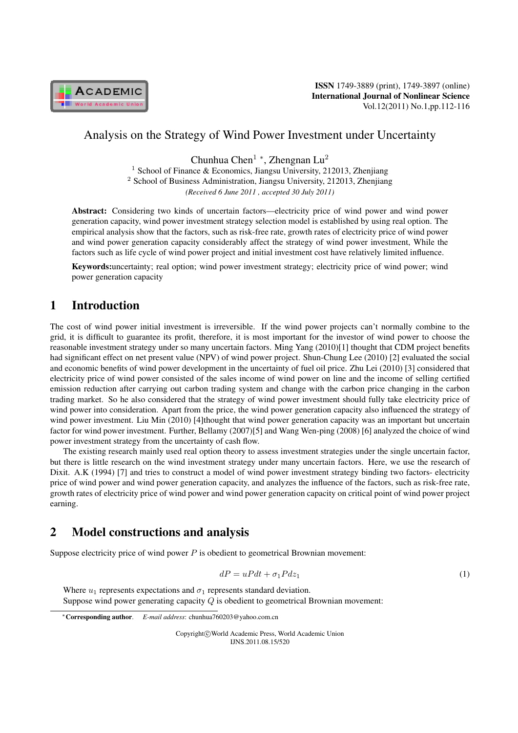

ISSN 1749-3889 (print), 1749-3897 (online) International Journal of Nonlinear Science Vol.12(2011) No.1,pp.112-116

### Analysis on the Strategy of Wind Power Investment under Uncertainty

Chunhua Chen<sup>1</sup> *<sup>∗</sup>* , Zhengnan Lu<sup>2</sup>

<sup>1</sup> School of Finance & Economics, Jiangsu University, 212013, Zhenjiang <sup>2</sup> School of Business Administration, Jiangsu University, 212013, Zhenjiang *(Received 6 June 2011 , accepted 30 July 2011)*

Abstract: Considering two kinds of uncertain factors—electricity price of wind power and wind power generation capacity, wind power investment strategy selection model is established by using real option. The empirical analysis show that the factors, such as risk-free rate, growth rates of electricity price of wind power and wind power generation capacity considerably affect the strategy of wind power investment, While the factors such as life cycle of wind power project and initial investment cost have relatively limited influence.

Keywords:uncertainty; real option; wind power investment strategy; electricity price of wind power; wind power generation capacity

## 1 Introduction

The cost of wind power initial investment is irreversible. If the wind power projects can't normally combine to the grid, it is difficult to guarantee its profit, therefore, it is most important for the investor of wind power to choose the reasonable investment strategy under so many uncertain factors. Ming Yang (2010)[1] thought that CDM project benefits had significant effect on net present value (NPV) of wind power project. Shun-Chung Lee (2010) [2] evaluated the social and economic benefits of wind power development in the uncertainty of fuel oil price. Zhu Lei (2010) [3] considered that electricity price of wind power consisted of the sales income of wind power on line and the income of selling certified emission reduction after carrying out carbon trading system and change with the carbon price changing in the carbon trading market. So he also considered that the strategy of wind power investment should fully take electricity price of wind power into consideration. Apart from the price, the wind power generation capacity also influenced the strategy of wind power investment. Liu Min (2010) [4]thought that wind power generation capacity was an important but uncertain factor for wind power investment. Further, Bellamy (2007)[5] and Wang Wen-ping (2008) [6] analyzed the choice of wind power investment strategy from the uncertainty of cash flow.

The existing research mainly used real option theory to assess investment strategies under the single uncertain factor, but there is little research on the wind investment strategy under many uncertain factors. Here, we use the research of Dixit. A.K (1994) [7] and tries to construct a model of wind power investment strategy binding two factors- electricity price of wind power and wind power generation capacity, and analyzes the influence of the factors, such as risk-free rate, growth rates of electricity price of wind power and wind power generation capacity on critical point of wind power project earning.

# 2 Model constructions and analysis

Suppose electricity price of wind power  $P$  is obedient to geometrical Brownian movement:

$$
dP = uPdt + \sigma_1 P dz_1 \tag{1}
$$

Where  $u_1$  represents expectations and  $\sigma_1$  represents standard deviation. Suppose wind power generating capacity  $Q$  is obedient to geometrical Brownian movement:

Copyright*⃝*c World Academic Press, World Academic Union IJNS.2011.08.15/520

*<sup>∗</sup>*Corresponding author. *E-mail address*: chunhua760203@yahoo.com.cn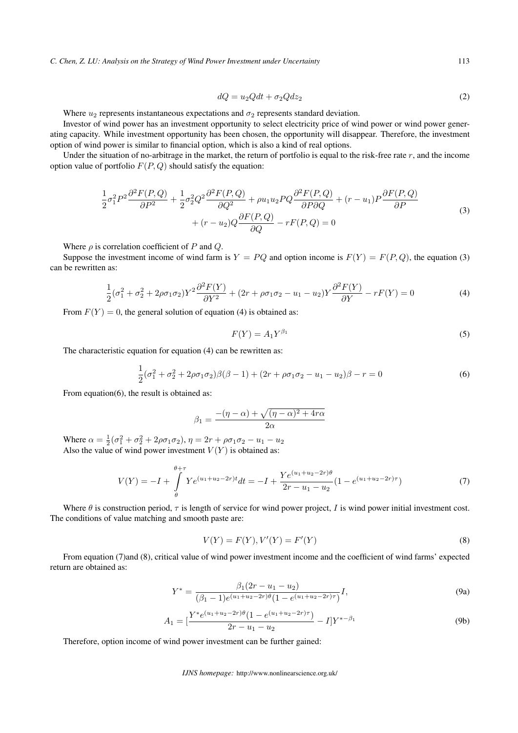*C. Chen, Z. LU: Analysis on the Strategy of Wind Power Investment under Uncertainty* 113

$$
dQ = u_2 Q dt + \sigma_2 Q dz_2 \tag{2}
$$

Where  $u_2$  represents instantaneous expectations and  $\sigma_2$  represents standard deviation.

Investor of wind power has an investment opportunity to select electricity price of wind power or wind power generating capacity. While investment opportunity has been chosen, the opportunity will disappear. Therefore, the investment option of wind power is similar to financial option, which is also a kind of real options.

Under the situation of no-arbitrage in the market, the return of portfolio is equal to the risk-free rate  $r$ , and the income option value of portfolio  $F(P, Q)$  should satisfy the equation:

$$
\frac{1}{2}\sigma_1^2 P^2 \frac{\partial^2 F(P,Q)}{\partial P^2} + \frac{1}{2}\sigma_2^2 Q^2 \frac{\partial^2 F(P,Q)}{\partial Q^2} + \rho u_1 u_2 P Q \frac{\partial^2 F(P,Q)}{\partial P \partial Q} + (r - u_1) P \frac{\partial F(P,Q)}{\partial P} \n+ (r - u_2) Q \frac{\partial F(P,Q)}{\partial Q} - rF(P,Q) = 0
$$
\n(3)

Where  $\rho$  is correlation coefficient of  $P$  and  $Q$ .

Suppose the investment income of wind farm is  $Y = PQ$  and option income is  $F(Y) = F(P,Q)$ , the equation (3) can be rewritten as:

$$
\frac{1}{2}(\sigma_1^2 + \sigma_2^2 + 2\rho\sigma_1\sigma_2)Y^2\frac{\partial^2 F(Y)}{\partial Y^2} + (2r + \rho\sigma_1\sigma_2 - u_1 - u_2)Y\frac{\partial^2 F(Y)}{\partial Y} - rF(Y) = 0
$$
\n(4)

From  $F(Y) = 0$ , the general solution of equation (4) is obtained as:

$$
F(Y) = A_1 Y^{\beta_1} \tag{5}
$$

The characteristic equation for equation (4) can be rewritten as:

$$
\frac{1}{2}(\sigma_1^2 + \sigma_2^2 + 2\rho\sigma_1\sigma_2)\beta(\beta - 1) + (2r + \rho\sigma_1\sigma_2 - u_1 - u_2)\beta - r = 0
$$
\n(6)

From equation(6), the result is obtained as:

$$
\beta_1 = \frac{-(\eta - \alpha) + \sqrt{(\eta - \alpha)^2 + 4r\alpha}}{2\alpha}
$$

Where  $\alpha = \frac{1}{2}(\sigma_1^2 + \sigma_2^2 + 2\rho\sigma_1\sigma_2), \eta = 2r + \rho\sigma_1\sigma_2 - u_1 - u_2$ Also the value of wind power investment  $V(Y)$  is obtained as:

$$
V(Y) = -I + \int_{\theta}^{\theta + \tau} Y e^{(u_1 + u_2 - 2r)t} dt = -I + \frac{Y e^{(u_1 + u_2 - 2r)\theta}}{2r - u_1 - u_2} (1 - e^{(u_1 + u_2 - 2r)\tau})
$$
(7)

Where  $\theta$  is construction period,  $\tau$  is length of service for wind power project, I is wind power initial investment cost. The conditions of value matching and smooth paste are:

$$
V(Y) = F(Y), V'(Y) = F'(Y)
$$
\n(8)

From equation (7)and (8), critical value of wind power investment income and the coefficient of wind farms' expected return are obtained as:

$$
Y^* = \frac{\beta_1(2r - u_1 - u_2)}{(\beta_1 - 1)e^{(u_1 + u_2 - 2r)\theta}(1 - e^{(u_1 + u_2 - 2r)\tau})}I,
$$
\n(9a)

$$
A_1 = \left[\frac{Y^* e^{(u_1 + u_2 - 2r)\theta} (1 - e^{(u_1 + u_2 - 2r)\tau})}{2r - u_1 - u_2} - I\right] Y^{* - \beta_1}
$$
(9b)

Therefore, option income of wind power investment can be further gained: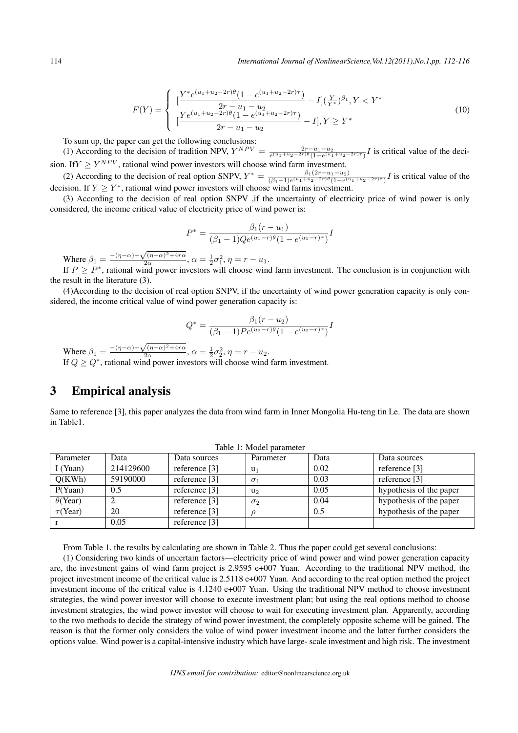$$
F(Y) = \begin{cases} \n\left[ \frac{Y^* e^{(u_1 + u_2 - 2r)\theta} (1 - e^{(u_1 + u_2 - 2r)\tau})}{2r - u_1 - u_2} - I \right] \left( \frac{Y}{Y^*} \right)^{\beta_1}, Y < Y^* \\
\left[ \frac{Ye^{(u_1 + u_2 - 2r)\theta} (1 - e^{(u_1 + u_2 - 2r)\tau})}{2r - u_1 - u_2} - I \right], Y \ge Y^* \n\end{cases} \tag{10}
$$

To sum up, the paper can get the following conclusions:

(1) According to the decision of tradition NPV,  $Y^{NPV} = \frac{2r - u_1 - u_2}{e^{(u_1 + u_2 - 2r)\theta}(1 - e^{(u_1 + u_2 - 2r)\tau})} I$  is critical value of the decision. If  $Y \geq Y^{NPV}$ , rational wind power investors will choose wind farm investment.

(2) According to the decision of real option SNPV,  $Y^* = \frac{\beta_1(2r - u_1 - u_2)}{(\beta_1 - 1)e^{(u_1 + u_2 - 2r)\theta} (1 - e^{(u_1 + u_2)})}$  $\frac{\beta_1(2r-a_1-a_2)}{(\beta_1-1)e^{(u_1+u_2-2r)\theta}(1-e^{(u_1+u_2-2r)\tau})}$  is critical value of the decision. If  $Y \geq Y^*$ , rational wind power investors will choose wind farms investment.

(3) According to the decision of real option SNPV ,if the uncertainty of electricity price of wind power is only considered, the income critical value of electricity price of wind power is:

$$
P^* = \frac{\beta_1(r - u_1)}{(\beta_1 - 1)Qe^{(u_1 - r)\theta}(1 - e^{(u_1 - r)\tau})}I
$$

Where  $\beta_1 = \frac{-(\eta-\alpha)+\sqrt{(\eta-\alpha)^2+4r\alpha}}{2\alpha}$  $\frac{1}{2\alpha}$ ,  $\alpha = \frac{1}{2}\sigma_1^2$ ,  $\eta = r - u_1$ .

If  $P \geq P^*$ , rational wind power investors will choose wind farm investment. The conclusion is in conjunction with the result in the literature (3).

(4)According to the decision of real option SNPV, if the uncertainty of wind power generation capacity is only considered, the income critical value of wind power generation capacity is:

$$
Q^* = \frac{\beta_1(r - u_2)}{(\beta_1 - 1)Pe^{(u_2 - r)\theta}(1 - e^{(u_2 - r)\tau})}I
$$

Where  $\beta_1 = \frac{-(\eta-\alpha)+\sqrt{(\eta-\alpha)^2+4r\alpha}}{2\alpha}$  $\frac{1}{2\alpha}$ ,  $\alpha = \frac{1}{2}\sigma_2^2$ ,  $\eta = r - u_2$ . If  $Q \geq Q^*$ , rational wind power investors will choose wind farm investment.

#### 3 Empirical analysis

Same to reference [3], this paper analyzes the data from wind farm in Inner Mongolia Hu-teng tin Le. The data are shown in Table1.

| rable 1. <i>information</i> |               |                 |            |      |                         |  |  |  |  |
|-----------------------------|---------------|-----------------|------------|------|-------------------------|--|--|--|--|
| Parameter                   | Data          | Data sources    | Parameter  | Data | Data sources            |  |  |  |  |
| $I$ (Yuan)                  | 214129600     | reference $[3]$ | $u_1$      | 0.02 | reference [3]           |  |  |  |  |
| O(KWh)                      | 59190000      | reference $[3]$ | $\sigma_1$ | 0.03 | reference [3]           |  |  |  |  |
| P(Yuan)                     | $0.5^{\circ}$ | reference [3]   | $u_2$      | 0.05 | hypothesis of the paper |  |  |  |  |
| $\theta$ (Year)             |               | reference $[3]$ | $\sigma_2$ | 0.04 | hypothesis of the paper |  |  |  |  |
| $\tau$ (Year)               | 20            | reference $[3]$ |            | 0.5  | hypothesis of the paper |  |  |  |  |
|                             | 0.05          | reference $[3]$ |            |      |                         |  |  |  |  |

Table 1: Model parameter

From Table 1, the results by calculating are shown in Table 2. Thus the paper could get several conclusions:

(1) Considering two kinds of uncertain factors—electricity price of wind power and wind power generation capacity are, the investment gains of wind farm project is 2.9595 e+007 Yuan. According to the traditional NPV method, the project investment income of the critical value is 2.5118 e+007 Yuan. And according to the real option method the project investment income of the critical value is 4.1240 e+007 Yuan. Using the traditional NPV method to choose investment strategies, the wind power investor will choose to execute investment plan; but using the real options method to choose investment strategies, the wind power investor will choose to wait for executing investment plan. Apparently, according to the two methods to decide the strategy of wind power investment, the completely opposite scheme will be gained. The reason is that the former only considers the value of wind power investment income and the latter further considers the options value. Wind power is a capital-intensive industry which have large- scale investment and high risk. The investment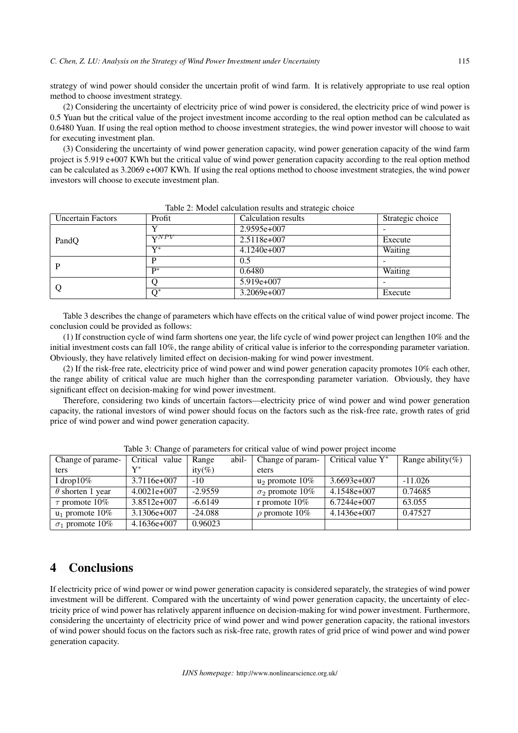strategy of wind power should consider the uncertain profit of wind farm. It is relatively appropriate to use real option method to choose investment strategy.

(2) Considering the uncertainty of electricity price of wind power is considered, the electricity price of wind power is 0.5 Yuan but the critical value of the project investment income according to the real option method can be calculated as 0.6480 Yuan. If using the real option method to choose investment strategies, the wind power investor will choose to wait for executing investment plan.

(3) Considering the uncertainty of wind power generation capacity, wind power generation capacity of the wind farm project is 5.919 e+007 KWh but the critical value of wind power generation capacity according to the real option method can be calculated as 3.2069 e+007 KWh. If using the real options method to choose investment strategies, the wind power investors will choose to execute investment plan.

| <b>Uncertain Factors</b> | Profit                 | Calculation results | Strategic choice |
|--------------------------|------------------------|---------------------|------------------|
|                          |                        | $2.9595e+007$       |                  |
| PandQ                    | $\overline{\bf v}$ NPV | 2.5118e+007         | Execute          |
|                          | $V^*$                  | $4.1240e+007$       | Waiting          |
| P                        | D                      | 0.5                 |                  |
|                          | $\mathbf{D}^*$         | 0.6480              | Waiting          |
| O                        |                        | 5.919e+007          |                  |
|                          | $O^*$                  | 3.2069e+007         | Execute          |

Table 2: Model calculation results and strategic choice

Table 3 describes the change of parameters which have effects on the critical value of wind power project income. The conclusion could be provided as follows:

(1) If construction cycle of wind farm shortens one year, the life cycle of wind power project can lengthen 10% and the initial investment costs can fall 10%, the range ability of critical value is inferior to the corresponding parameter variation. Obviously, they have relatively limited effect on decision-making for wind power investment.

(2) If the risk-free rate, electricity price of wind power and wind power generation capacity promotes 10% each other, the range ability of critical value are much higher than the corresponding parameter variation. Obviously, they have significant effect on decision-making for wind power investment.

Therefore, considering two kinds of uncertain factors—electricity price of wind power and wind power generation capacity, the rational investors of wind power should focus on the factors such as the risk-free rate, growth rates of grid price of wind power and wind power generation capacity.

| Change of parame-       | Critical value | Range     | abil- | Change of param-       | Critical value $Y^*$ | Range ability(%) |
|-------------------------|----------------|-----------|-------|------------------------|----------------------|------------------|
| ters                    | $\mathbf{V}^*$ | $ity(\%)$ |       | eters                  |                      |                  |
| I drop $10\%$           | 3.7116e+007    | $-10$     |       | $u_2$ promote $10\%$   | $3.6693e+007$        | $-11.026$        |
| $\theta$ shorten 1 year | $4.0021e+007$  | $-2.9559$ |       | $\sigma_2$ promote 10% | 4.1548e+007          | 0.74685          |
| $\tau$ promote 10%      | $3.8512e+007$  | $-6.6149$ |       | r promote $10\%$       | $6.7244e+007$        | 63.055           |
| $u_1$ promote 10%       | 3.1306e+007    | $-24.088$ |       | $\rho$ promote 10%     | $4.1436e+007$        | 0.47527          |
| $\sigma_1$ promote 10%  | $4.1636e+007$  | 0.96023   |       |                        |                      |                  |

Table 3: Change of parameters for critical value of wind power project income

### 4 Conclusions

If electricity price of wind power or wind power generation capacity is considered separately, the strategies of wind power investment will be different. Compared with the uncertainty of wind power generation capacity, the uncertainty of electricity price of wind power has relatively apparent influence on decision-making for wind power investment. Furthermore, considering the uncertainty of electricity price of wind power and wind power generation capacity, the rational investors of wind power should focus on the factors such as risk-free rate, growth rates of grid price of wind power and wind power generation capacity.